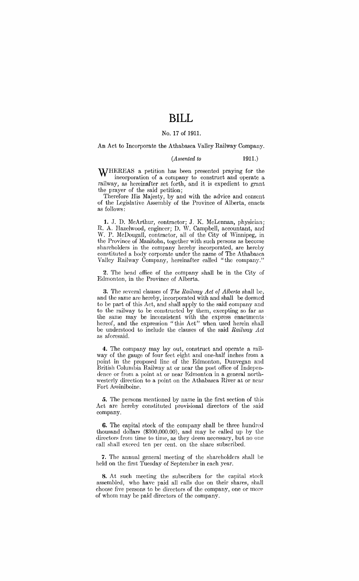# **BILL**

### No. 17 of 1911.

An Act to Incorporate the Athabasca Valley Railway Company.

#### *(Assented to* 1911.)

WHEREAS a petition has been presented praying for the incorporation of a company to construct and operate a railway, as hereinafter set forth, and it is expedient to grant the prayer of the said petition;

Therefore His Majesty, by and with the advice and consent of the Legislative Assembly of the Province of Alberta, enacts as follows:

1. J. D. McArthur, contractor; J. K. McLennan, physician; R. A. Hazelwood, engineer; D. W. Campbell, accountant, and W. P. McDougall, contractor, all of the City of Winnipeg, in the Province of Manitoba, together with such persons as become shareholders in the company hereby incorporated, are hereby constituted a body corporate under the name of The Athabasca Valley Railway Company, hereinafter called "the company."

2. The head office of the company shall be in the City of Edmonton, in the Province of Alberta.

3. The several clauses of *The Railway Act of Alberta* shall be, and the same are hereby, incorporated with and shall be deemed to be part of this Act, and shall apply to the said company and to the railway to be constructed by them, excepting so far as the same may be inconsistent with the express enactments hereof, and the expression "this Act" when used herein shall *be* understood to include the clauses of the said *Railway Act*  as aforesaid.

4. The company may lay out, construct and operate a railway of the gauge of four feet eight and one-half inches from a point in the proposed line of the Edmonton, Dunvegan and British Columbia Railway at or near the post office of Independence or from a point at or near Edmonton in a general northwesterly direction to a point on the Athabasca River at or ncar Fort Assiniboine.

*5.* The persons mentioned by name in the first section of this Act are hereby constituted provisional directors of the said company.

6. The capital stock of the company shall *be* three hundrcu thousand dollars (\$300,000.00), and may be called up by the directors from time to time, as they deem necessary, but no one call shall exceed ten per cent. on the share subscribed.

'7. The annual general meeting of the shareholders shall be held on the first Tuesday of September in each year.

8. At such meeting the subscribers for the capital stock assembled, who have paid all calls due on their shares, shall choose five persons to be directors of the company, one or more of whom may *be* paid directors of the company.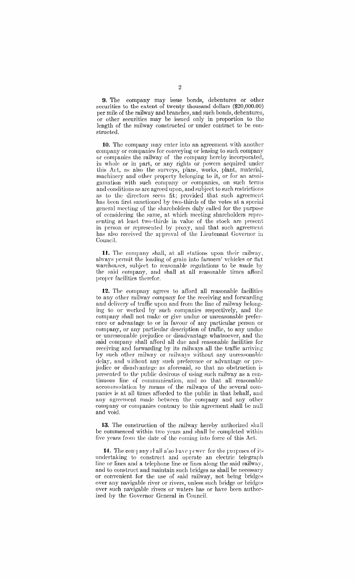9. The company may issue bonds, debentures or other securities to the extent of twenty thousand dollars (\$20,000.00) per mile of the railway and branches, and such bonds, debentures, or other securities may be issued only in proportion to the length of the railway constructed or under contract to be constructed.

10. The company may enter into an agreement with another company or companies for conveying or leasing to such company or companies the railway of the company hereby incorporated, in whole or in part, or any rights or powers acquired under this Att, as also the surveys, plans, works, plant, material, machinery and other property belonging to it, or for an amalgamation with such company or companies, on such trrms and conditions as arc agreed upon, and subject to such restrictions as to the directors seem fit; provided that such agreement has been first sanctioned by two-thirds of the votes at a special general meeting of the shareholders duly called for the purpose of considering the same, at which meeting shareholders rcpresenting at least two-thirds in value of the stock are present in person or represented by proxy, and that such agreement has also received the approval of the Lieutenant Governor in Council.

11. The company shall, at all stations upon their railway, always permit the loading of grain into fanners' vehicles or flat warehouses, subject to reasonable regulations to be made by the said company, and shall at all reasonable times afford proper facilities therefor.

12. The company agrees to afford all reasonable facilities to any other railway company for the receiving and forwarding and delivery of traffic upon and from the line of railway belonging to or worked by sueh companies respectively, and the company shall not make or give undue or unreasonable preference or advantage to or in favour of any particular person or company, or any particular description of traffic, to any undue or unreasonable prejudice or disadvantage whatsoever, and the said company shall afford all due and reasonable facilities for receiving and forwarding by its railways all the traffic arriving by such other railway or railways without any unreasonable delay, and without any such preference or advantage or prejudice or disadvantage as aforesaid, so that no obstruction is presented to the public desirous of using such railway as a continuous line of communication, and so that all reasonable accommodation by means of the railways of the several companics is at all times afforded to the public in that behalf, and any agreement made between the company and any other company or companies contrary to this agreement shall be null and void.

13. The construction of the railway hereby authorized shall be commenced within two years and shall be completed within five ypars from the date of the coming into force of this Act.

14. The company shall also have power for the purposes of its undertaking to construct and operate an electric telegraph line or lines and a telephone line or lines along the said railway, and to construct and maintain such bridges as shall be necessary or convenient for the use of said railway, not being bridges over any navigable river or rivers, unless such bridge or bridges over such navigable rivers or waters has or have been authorized by the Governor General in Council.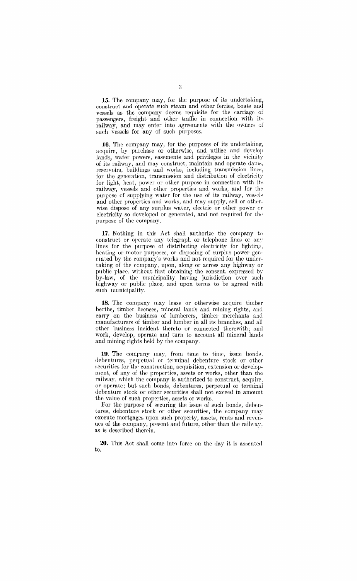**15.** The company may, for the purpose of its undertaking, construct and operate such steam and other ferries, boats and vessels as the company deems requisite for the carriage of passengers, freight and other traffic in connection with its railway, and may enter into agreements with the owners of such vessels for any of such purposes.

16. The company may, for the purposes of its undertaking, acquire, by purchase or otherwise, and utilize and develop lands, water powers, easements and privileges in the vicinity of its railway, and may construct, maintain and operate dams, reservoirs, buildings and works, including transmission lines, for the generation, transmission and distribution of electricity for light, heat, power or other purpose in connection with its railway, vessels and other properties and works, and for the purpose of supplying water for the usc of its railway, vessels and other properties and works, and may supply, sell or otherwise dispose of any surplus water, electric or other power or electricity so developed or generated, and not required for the purpose of the company.

17. Nothing in this Act shall authorize the company to construct or operate any telegraph or telephone lines or any lines for the purpose of distributing electricity for lighting, heating or motor purposes, or disposing of surplus power generated by the company's works and not required for the undertaking of the company, upon, along or across any highway or public place, without first obtaining the consent, expressed by by-law, of the municipality having jurisdiction over such highway or public place, and upon terms to *be* agreed with such municipality.

**18.** The company may lease or otherwise acquire timber berths, timber licenses, mineral lands and mining rights, and carry on the business of lumberers, timber merchants and manufacturers of timber and lumber in all its branches, and all other business incident thereto or connected therewith; and work, develop, operate and turn to account all mineral lands and mining rights held by the company.

19. The company may, from time to time, issue bonds, debentures, perpetual or terminal debenture stock or other securities for the construction, acquisition, extension or development, of any of the properties, assets or works, other than the railway, which the company is authorized to constmct, acquire, or operate; but such bonds, debentures, perpetual or terminal debenture stock or other securities shall not exceed in amount the value of such properties, assets or works.

For the purpose of securing the issue of such bonds, debentures, debenture stock or other securities, the company may execute mortgages upon such property, assets, rents and revenues of the company, present and future, other than the railway, as is described therein.

**20.** This Act shall come int0 foree on the day it is assented to.